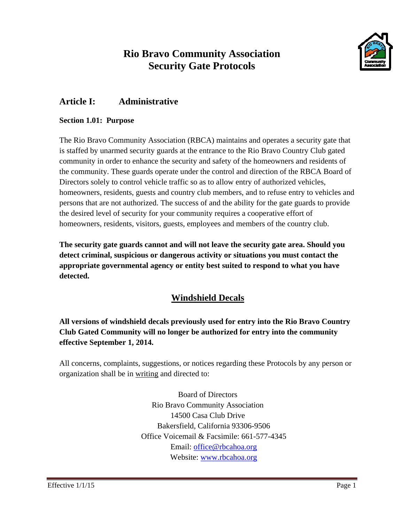# **Rio Bravo Community Association Security Gate Protocols**



## **Article I: Administrative**

#### **Section 1.01: Purpose**

The Rio Bravo Community Association (RBCA) maintains and operates a security gate that is staffed by unarmed security guards at the entrance to the Rio Bravo Country Club gated community in order to enhance the security and safety of the homeowners and residents of the community. These guards operate under the control and direction of the RBCA Board of Directors solely to control vehicle traffic so as to allow entry of authorized vehicles, homeowners, residents, guests and country club members, and to refuse entry to vehicles and persons that are not authorized. The success of and the ability for the gate guards to provide the desired level of security for your community requires a cooperative effort of homeowners, residents, visitors, guests, employees and members of the country club.

**The security gate guards cannot and will not leave the security gate area. Should you detect criminal, suspicious or dangerous activity or situations you must contact the appropriate governmental agency or entity best suited to respond to what you have detected.** 

## **Windshield Decals**

**All versions of windshield decals previously used for entry into the Rio Bravo Country Club Gated Community will no longer be authorized for entry into the community effective September 1, 2014.** 

All concerns, complaints, suggestions, or notices regarding these Protocols by any person or organization shall be in writing and directed to:

> Board of Directors Rio Bravo Community Association 14500 Casa Club Drive Bakersfield, California 93306-9506 Office Voicemail & Facsimile: 661-577-4345 Email: office@rbcahoa.org Website: www.rbcahoa.org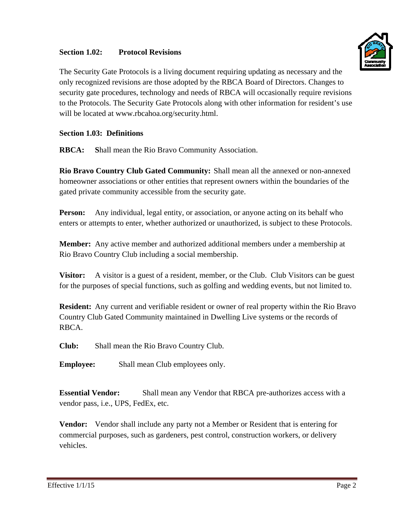#### **Section 1.02: Protocol Revisions**



The Security Gate Protocols is a living document requiring updating as necessary and the only recognized revisions are those adopted by the RBCA Board of Directors. Changes to security gate procedures, technology and needs of RBCA will occasionally require revisions to the Protocols. The Security Gate Protocols along with other information for resident's use will be located at www.rbcahoa.org/security.html.

#### **Section 1.03: Definitions**

**RBCA: S**hall mean the Rio Bravo Community Association.

**Rio Bravo Country Club Gated Community:** Shall mean all the annexed or non-annexed homeowner associations or other entities that represent owners within the boundaries of the gated private community accessible from the security gate.

**Person:** Any individual, legal entity, or association, or anyone acting on its behalf who enters or attempts to enter, whether authorized or unauthorized, is subject to these Protocols.

**Member:** Any active member and authorized additional members under a membership at Rio Bravo Country Club including a social membership.

**Visitor:** A visitor is a guest of a resident, member, or the Club. Club Visitors can be guest for the purposes of special functions, such as golfing and wedding events, but not limited to.

**Resident:** Any current and verifiable resident or owner of real property within the Rio Bravo Country Club Gated Community maintained in Dwelling Live systems or the records of RBCA.

**Club:** Shall mean the Rio Bravo Country Club.

**Employee:** Shall mean Club employees only.

**Essential Vendor:** Shall mean any Vendor that RBCA pre-authorizes access with a vendor pass, i.e., UPS, FedEx, etc.

**Vendor:** Vendor shall include any party not a Member or Resident that is entering for commercial purposes, such as gardeners, pest control, construction workers, or delivery vehicles.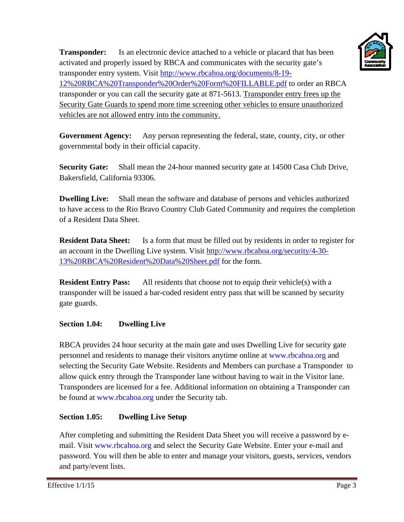

**Transponder:** Is an electronic device attached to a vehicle or placard that has been activated and properly issued by RBCA and communicates with the security gate's transponder entry system. Visit http://www.rbcahoa.org/documents/8-19- 12%20RBCA%20Transponder%20Order%20Form%20FILLABLE.pdf to order an RBCA transponder or you can call the security gate at 871-5613. Transponder entry frees up the Security Gate Guards to spend more time screening other vehicles to ensure unauthorized vehicles are not allowed entry into the community.

**Government Agency:** Any person representing the federal, state, county, city, or other governmental body in their official capacity.

**Security Gate:** Shall mean the 24-hour manned security gate at 14500 Casa Club Drive, Bakersfield, California 93306.

**Dwelling Live:** Shall mean the software and database of persons and vehicles authorized to have access to the Rio Bravo Country Club Gated Community and requires the completion of a Resident Data Sheet.

**Resident Data Sheet:** Is a form that must be filled out by residents in order to register for an account in the Dwelling Live system. Visit http://www.rbcahoa.org/security/4-30- 13%20RBCA%20Resident%20Data%20Sheet.pdf for the form.

**Resident Entry Pass:** All residents that choose not to equip their vehicle(s) with a transponder will be issued a bar-coded resident entry pass that will be scanned by security gate guards.

#### **Section 1.04: Dwelling Live**

RBCA provides 24 hour security at the main gate and uses Dwelling Live for security gate personnel and residents to manage their visitors anytime online at www.rbcahoa.org and selecting the Security Gate Website. Residents and Members can purchase a Transponder to allow quick entry through the Transponder lane without having to wait in the Visitor lane. Transponders are licensed for a fee. Additional information on obtaining a Transponder can be found at www.rbcahoa.org under the Security tab.

## **Section 1.05: Dwelling Live Setup**

After completing and submitting the Resident Data Sheet you will receive a password by email. Visit www.rbcahoa.org and select the Security Gate Website. Enter your e-mail and password. You will then be able to enter and manage your visitors, guests, services, vendors and party/event lists.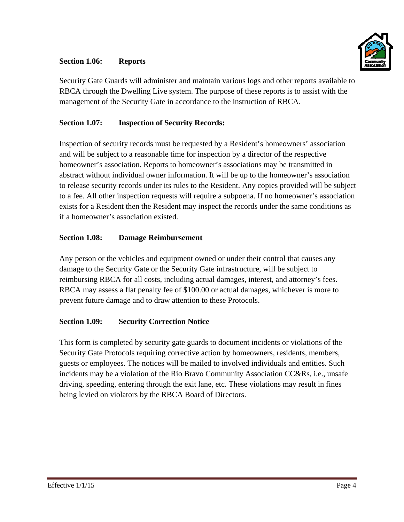#### **Section 1.06: Reports**



Security Gate Guards will administer and maintain various logs and other reports available to RBCA through the Dwelling Live system. The purpose of these reports is to assist with the management of the Security Gate in accordance to the instruction of RBCA.

#### **Section 1.07: Inspection of Security Records:**

Inspection of security records must be requested by a Resident's homeowners' association and will be subject to a reasonable time for inspection by a director of the respective homeowner's association. Reports to homeowner's associations may be transmitted in abstract without individual owner information. It will be up to the homeowner's association to release security records under its rules to the Resident. Any copies provided will be subject to a fee. All other inspection requests will require a subpoena. If no homeowner's association exists for a Resident then the Resident may inspect the records under the same conditions as if a homeowner's association existed.

#### **Section 1.08: Damage Reimbursement**

Any person or the vehicles and equipment owned or under their control that causes any damage to the Security Gate or the Security Gate infrastructure, will be subject to reimbursing RBCA for all costs, including actual damages, interest, and attorney's fees. RBCA may assess a flat penalty fee of \$100.00 or actual damages, whichever is more to prevent future damage and to draw attention to these Protocols.

#### **Section 1.09: Security Correction Notice**

This form is completed by security gate guards to document incidents or violations of the Security Gate Protocols requiring corrective action by homeowners, residents, members, guests or employees. The notices will be mailed to involved individuals and entities. Such incidents may be a violation of the Rio Bravo Community Association CC&Rs, i.e., unsafe driving, speeding, entering through the exit lane, etc. These violations may result in fines being levied on violators by the RBCA Board of Directors.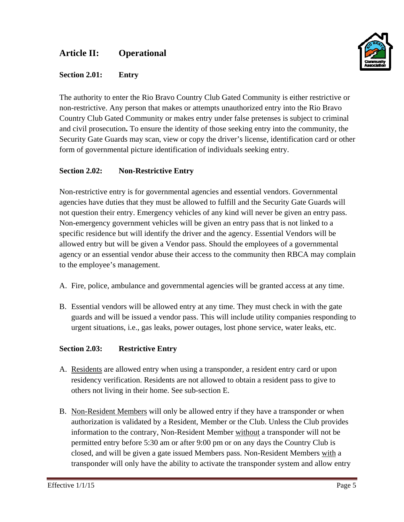## **Article II: Operational**





The authority to enter the Rio Bravo Country Club Gated Community is either restrictive or non-restrictive. Any person that makes or attempts unauthorized entry into the Rio Bravo Country Club Gated Community or makes entry under false pretenses is subject to criminal and civil prosecution**.** To ensure the identity of those seeking entry into the community, the Security Gate Guards may scan, view or copy the driver's license, identification card or other form of governmental picture identification of individuals seeking entry.

#### **Section 2.02: Non-Restrictive Entry**

Non-restrictive entry is for governmental agencies and essential vendors. Governmental agencies have duties that they must be allowed to fulfill and the Security Gate Guards will not question their entry. Emergency vehicles of any kind will never be given an entry pass. Non-emergency government vehicles will be given an entry pass that is not linked to a specific residence but will identify the driver and the agency. Essential Vendors will be allowed entry but will be given a Vendor pass. Should the employees of a governmental agency or an essential vendor abuse their access to the community then RBCA may complain to the employee's management.

- A. Fire, police, ambulance and governmental agencies will be granted access at any time.
- B. Essential vendors will be allowed entry at any time. They must check in with the gate guards and will be issued a vendor pass. This will include utility companies responding to urgent situations, i.e., gas leaks, power outages, lost phone service, water leaks, etc.

#### **Section 2.03: Restrictive Entry**

- A. Residents are allowed entry when using a transponder, a resident entry card or upon residency verification. Residents are not allowed to obtain a resident pass to give to others not living in their home. See sub-section E.
- B. Non-Resident Members will only be allowed entry if they have a transponder or when authorization is validated by a Resident, Member or the Club. Unless the Club provides information to the contrary, Non-Resident Member without a transponder will not be permitted entry before 5:30 am or after 9:00 pm or on any days the Country Club is closed, and will be given a gate issued Members pass. Non-Resident Members with a transponder will only have the ability to activate the transponder system and allow entry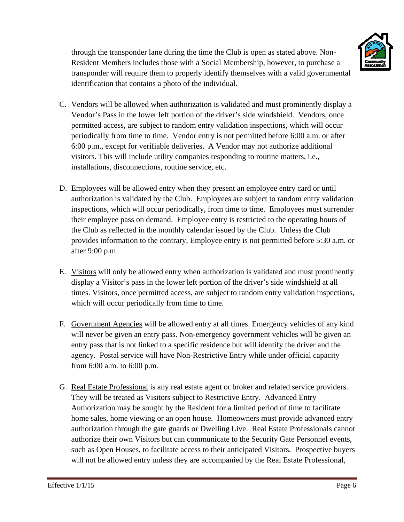

through the transponder lane during the time the Club is open as stated above. Non-Resident Members includes those with a Social Membership, however, to purchase a transponder will require them to properly identify themselves with a valid governmental identification that contains a photo of the individual.

- C. Vendors will be allowed when authorization is validated and must prominently display a Vendor's Pass in the lower left portion of the driver's side windshield. Vendors, once permitted access, are subject to random entry validation inspections, which will occur periodically from time to time. Vendor entry is not permitted before 6:00 a.m. or after 6:00 p.m., except for verifiable deliveries. A Vendor may not authorize additional visitors. This will include utility companies responding to routine matters, i.e., installations, disconnections, routine service, etc.
- D. Employees will be allowed entry when they present an employee entry card or until authorization is validated by the Club. Employees are subject to random entry validation inspections, which will occur periodically, from time to time. Employees must surrender their employee pass on demand. Employee entry is restricted to the operating hours of the Club as reflected in the monthly calendar issued by the Club. Unless the Club provides information to the contrary, Employee entry is not permitted before 5:30 a.m. or after 9:00 p.m.
- E. Visitors will only be allowed entry when authorization is validated and must prominently display a Visitor's pass in the lower left portion of the driver's side windshield at all times. Visitors, once permitted access, are subject to random entry validation inspections, which will occur periodically from time to time.
- F. Government Agencies will be allowed entry at all times. Emergency vehicles of any kind will never be given an entry pass. Non-emergency government vehicles will be given an entry pass that is not linked to a specific residence but will identify the driver and the agency. Postal service will have Non-Restrictive Entry while under official capacity from 6:00 a.m. to 6:00 p.m.
- G. Real Estate Professional is any real estate agent or broker and related service providers. They will be treated as Visitors subject to Restrictive Entry. Advanced Entry Authorization may be sought by the Resident for a limited period of time to facilitate home sales, home viewing or an open house. Homeowners must provide advanced entry authorization through the gate guards or Dwelling Live. Real Estate Professionals cannot authorize their own Visitors but can communicate to the Security Gate Personnel events, such as Open Houses, to facilitate access to their anticipated Visitors. Prospective buyers will not be allowed entry unless they are accompanied by the Real Estate Professional,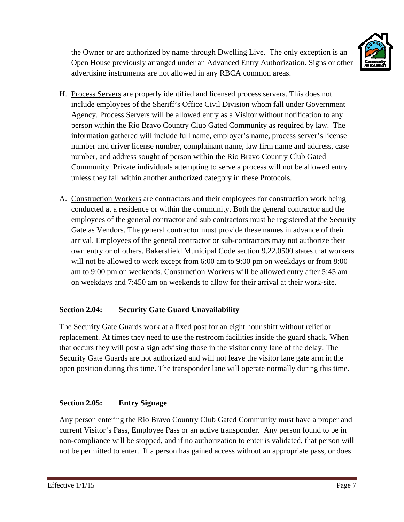

the Owner or are authorized by name through Dwelling Live. The only exception is an Open House previously arranged under an Advanced Entry Authorization. Signs or other advertising instruments are not allowed in any RBCA common areas.

- H. Process Servers are properly identified and licensed process servers. This does not include employees of the Sheriff's Office Civil Division whom fall under Government Agency. Process Servers will be allowed entry as a Visitor without notification to any person within the Rio Bravo Country Club Gated Community as required by law. The information gathered will include full name, employer's name, process server's license number and driver license number, complainant name, law firm name and address, case number, and address sought of person within the Rio Bravo Country Club Gated Community. Private individuals attempting to serve a process will not be allowed entry unless they fall within another authorized category in these Protocols.
- A. Construction Workers are contractors and their employees for construction work being conducted at a residence or within the community. Both the general contractor and the employees of the general contractor and sub contractors must be registered at the Security Gate as Vendors. The general contractor must provide these names in advance of their arrival. Employees of the general contractor or sub-contractors may not authorize their own entry or of others. Bakersfield Municipal Code section 9.22.0500 states that workers will not be allowed to work except from 6:00 am to 9:00 pm on weekdays or from 8:00 am to 9:00 pm on weekends. Construction Workers will be allowed entry after 5:45 am on weekdays and 7:450 am on weekends to allow for their arrival at their work-site.

## **Section 2.04: Security Gate Guard Unavailability**

The Security Gate Guards work at a fixed post for an eight hour shift without relief or replacement. At times they need to use the restroom facilities inside the guard shack. When that occurs they will post a sign advising those in the visitor entry lane of the delay. The Security Gate Guards are not authorized and will not leave the visitor lane gate arm in the open position during this time. The transponder lane will operate normally during this time.

## **Section 2.05: Entry Signage**

Any person entering the Rio Bravo Country Club Gated Community must have a proper and current Visitor's Pass, Employee Pass or an active transponder. Any person found to be in non-compliance will be stopped, and if no authorization to enter is validated, that person will not be permitted to enter. If a person has gained access without an appropriate pass, or does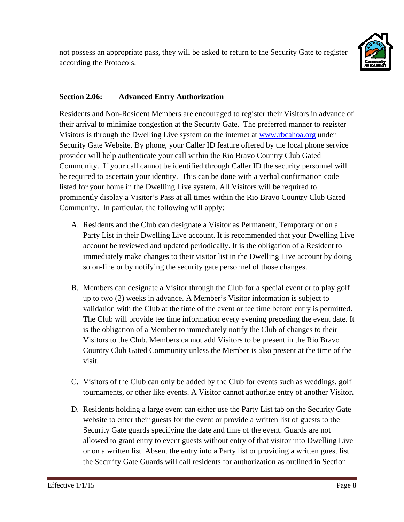

## **Section 2.06: Advanced Entry Authorization**

Residents and Non-Resident Members are encouraged to register their Visitors in advance of their arrival to minimize congestion at the Security Gate. The preferred manner to register Visitors is through the Dwelling Live system on the internet at www.rbcahoa.org under Security Gate Website. By phone, your Caller ID feature offered by the local phone service provider will help authenticate your call within the Rio Bravo Country Club Gated Community. If your call cannot be identified through Caller ID the security personnel will be required to ascertain your identity. This can be done with a verbal confirmation code listed for your home in the Dwelling Live system. All Visitors will be required to prominently display a Visitor's Pass at all times within the Rio Bravo Country Club Gated Community. In particular, the following will apply:

- A. Residents and the Club can designate a Visitor as Permanent, Temporary or on a Party List in their Dwelling Live account. It is recommended that your Dwelling Live account be reviewed and updated periodically. It is the obligation of a Resident to immediately make changes to their visitor list in the Dwelling Live account by doing so on-line or by notifying the security gate personnel of those changes.
- B. Members can designate a Visitor through the Club for a special event or to play golf up to two (2) weeks in advance. A Member's Visitor information is subject to validation with the Club at the time of the event or tee time before entry is permitted. The Club will provide tee time information every evening preceding the event date. It is the obligation of a Member to immediately notify the Club of changes to their Visitors to the Club. Members cannot add Visitors to be present in the Rio Bravo Country Club Gated Community unless the Member is also present at the time of the visit.
- C. Visitors of the Club can only be added by the Club for events such as weddings, golf tournaments, or other like events. A Visitor cannot authorize entry of another Visitor**.**
- D. Residents holding a large event can either use the Party List tab on the Security Gate website to enter their guests for the event or provide a written list of guests to the Security Gate guards specifying the date and time of the event. Guards are not allowed to grant entry to event guests without entry of that visitor into Dwelling Live or on a written list. Absent the entry into a Party list or providing a written guest list the Security Gate Guards will call residents for authorization as outlined in Section